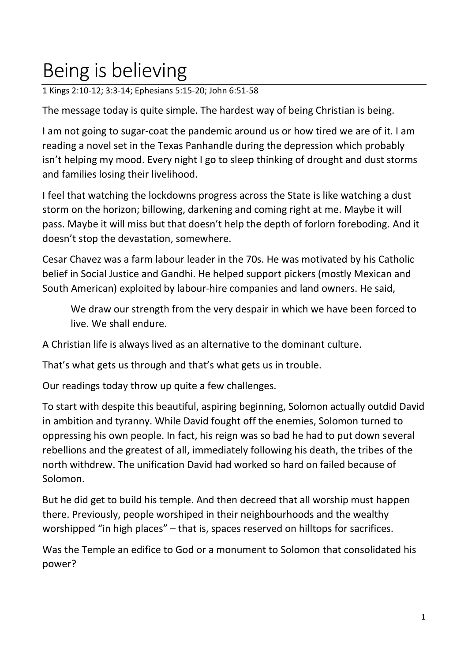## Being is believing

1 Kings 2:10-12; 3:3-14; Ephesians 5:15-20; John 6:51-58

The message today is quite simple. The hardest way of being Christian is being.

I am not going to sugar-coat the pandemic around us or how tired we are of it. I am reading a novel set in the Texas Panhandle during the depression which probably isn't helping my mood. Every night I go to sleep thinking of drought and dust storms and families losing their livelihood.

I feel that watching the lockdowns progress across the State is like watching a dust storm on the horizon; billowing, darkening and coming right at me. Maybe it will pass. Maybe it will miss but that doesn't help the depth of forlorn foreboding. And it doesn't stop the devastation, somewhere.

Cesar Chavez was a farm labour leader in the 70s. He was motivated by his Catholic belief in Social Justice and Gandhi. He helped support pickers (mostly Mexican and South American) exploited by labour-hire companies and land owners. He said,

We draw our strength from the very despair in which we have been forced to live. We shall endure.

A Christian life is always lived as an alternative to the dominant culture.

That's what gets us through and that's what gets us in trouble.

Our readings today throw up quite a few challenges.

To start with despite this beautiful, aspiring beginning, Solomon actually outdid David in ambition and tyranny. While David fought off the enemies, Solomon turned to oppressing his own people. In fact, his reign was so bad he had to put down several rebellions and the greatest of all, immediately following his death, the tribes of the north withdrew. The unification David had worked so hard on failed because of Solomon.

But he did get to build his temple. And then decreed that all worship must happen there. Previously, people worshiped in their neighbourhoods and the wealthy worshipped "in high places" – that is, spaces reserved on hilltops for sacrifices.

Was the Temple an edifice to God or a monument to Solomon that consolidated his power?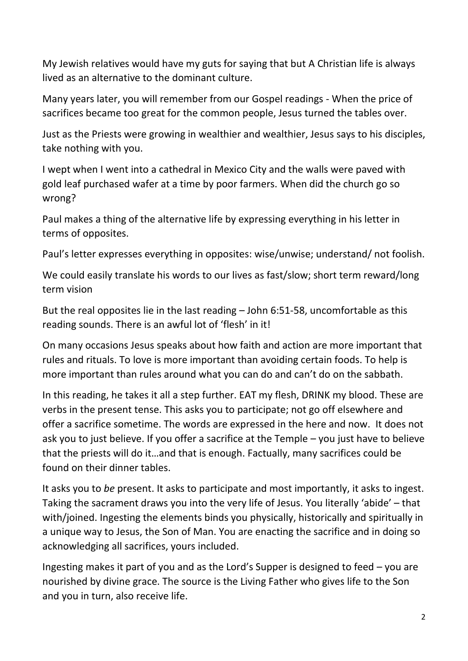My Jewish relatives would have my guts for saying that but A Christian life is always lived as an alternative to the dominant culture.

Many years later, you will remember from our Gospel readings - When the price of sacrifices became too great for the common people, Jesus turned the tables over.

Just as the Priests were growing in wealthier and wealthier, Jesus says to his disciples, take nothing with you.

I wept when I went into a cathedral in Mexico City and the walls were paved with gold leaf purchased wafer at a time by poor farmers. When did the church go so wrong?

Paul makes a thing of the alternative life by expressing everything in his letter in terms of opposites.

Paul's letter expresses everything in opposites: wise/unwise; understand/ not foolish.

We could easily translate his words to our lives as fast/slow; short term reward/long term vision

But the real opposites lie in the last reading – John 6:51-58, uncomfortable as this reading sounds. There is an awful lot of 'flesh' in it!

On many occasions Jesus speaks about how faith and action are more important that rules and rituals. To love is more important than avoiding certain foods. To help is more important than rules around what you can do and can't do on the sabbath.

In this reading, he takes it all a step further. EAT my flesh, DRINK my blood. These are verbs in the present tense. This asks you to participate; not go off elsewhere and offer a sacrifice sometime. The words are expressed in the here and now. It does not ask you to just believe. If you offer a sacrifice at the Temple – you just have to believe that the priests will do it…and that is enough. Factually, many sacrifices could be found on their dinner tables.

It asks you to *be* present. It asks to participate and most importantly, it asks to ingest. Taking the sacrament draws you into the very life of Jesus. You literally 'abide' – that with/joined. Ingesting the elements binds you physically, historically and spiritually in a unique way to Jesus, the Son of Man. You are enacting the sacrifice and in doing so acknowledging all sacrifices, yours included.

Ingesting makes it part of you and as the Lord's Supper is designed to feed – you are nourished by divine grace. The source is the Living Father who gives life to the Son and you in turn, also receive life.